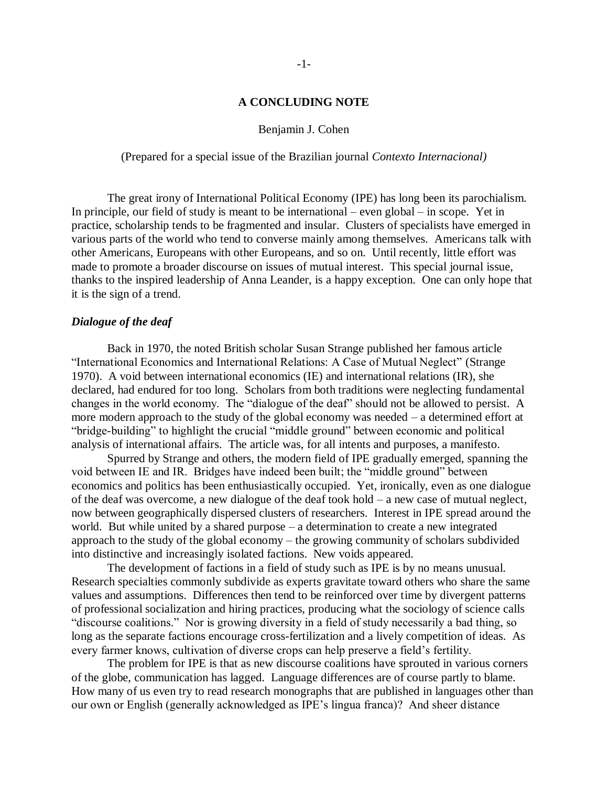#### **A CONCLUDING NOTE**

## Benjamin J. Cohen

(Prepared for a special issue of the Brazilian journal *Contexto Internacional)*

The great irony of International Political Economy (IPE) has long been its parochialism. In principle, our field of study is meant to be international – even global – in scope. Yet in practice, scholarship tends to be fragmented and insular. Clusters of specialists have emerged in various parts of the world who tend to converse mainly among themselves. Americans talk with other Americans, Europeans with other Europeans, and so on. Until recently, little effort was made to promote a broader discourse on issues of mutual interest. This special journal issue, thanks to the inspired leadership of Anna Leander, is a happy exception. One can only hope that it is the sign of a trend.

# *Dialogue of the deaf*

Back in 1970, the noted British scholar Susan Strange published her famous article "International Economics and International Relations: A Case of Mutual Neglect" (Strange 1970). A void between international economics (IE) and international relations (IR), she declared, had endured for too long. Scholars from both traditions were neglecting fundamental changes in the world economy. The "dialogue of the deaf" should not be allowed to persist. A more modern approach to the study of the global economy was needed – a determined effort at "bridge-building" to highlight the crucial "middle ground" between economic and political analysis of international affairs. The article was, for all intents and purposes, a manifesto.

Spurred by Strange and others, the modern field of IPE gradually emerged, spanning the void between IE and IR. Bridges have indeed been built; the "middle ground" between economics and politics has been enthusiastically occupied. Yet, ironically, even as one dialogue of the deaf was overcome, a new dialogue of the deaf took hold – a new case of mutual neglect, now between geographically dispersed clusters of researchers. Interest in IPE spread around the world. But while united by a shared purpose – a determination to create a new integrated approach to the study of the global economy – the growing community of scholars subdivided into distinctive and increasingly isolated factions. New voids appeared.

The development of factions in a field of study such as IPE is by no means unusual. Research specialties commonly subdivide as experts gravitate toward others who share the same values and assumptions. Differences then tend to be reinforced over time by divergent patterns of professional socialization and hiring practices, producing what the sociology of science calls "discourse coalitions." Nor is growing diversity in a field of study necessarily a bad thing, so long as the separate factions encourage cross-fertilization and a lively competition of ideas. As every farmer knows, cultivation of diverse crops can help preserve a field's fertility.

The problem for IPE is that as new discourse coalitions have sprouted in various corners of the globe, communication has lagged. Language differences are of course partly to blame. How many of us even try to read research monographs that are published in languages other than our own or English (generally acknowledged as IPE's lingua franca)? And sheer distance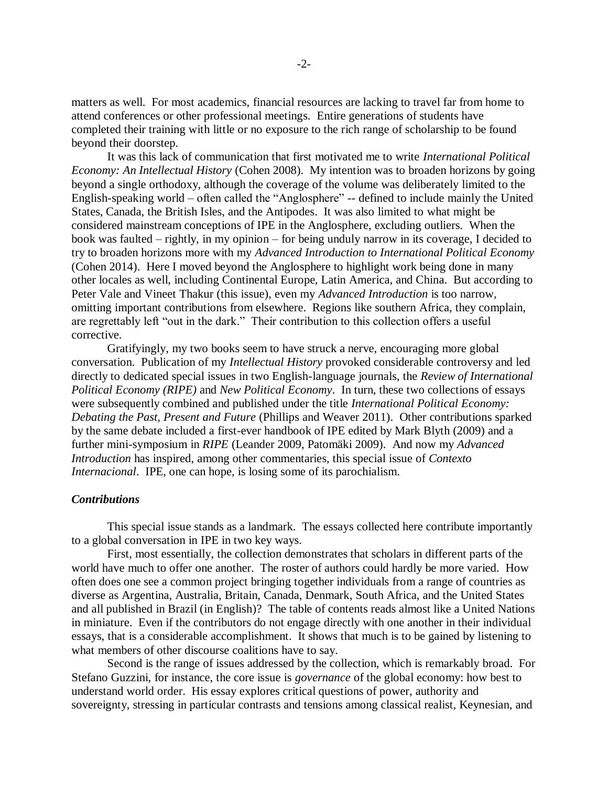matters as well. For most academics, financial resources are lacking to travel far from home to attend conferences or other professional meetings. Entire generations of students have completed their training with little or no exposure to the rich range of scholarship to be found beyond their doorstep.

It was this lack of communication that first motivated me to write *International Political Economy: An Intellectual History* (Cohen 2008). My intention was to broaden horizons by going beyond a single orthodoxy, although the coverage of the volume was deliberately limited to the English-speaking world – often called the "Anglosphere" -- defined to include mainly the United States, Canada, the British Isles, and the Antipodes. It was also limited to what might be considered mainstream conceptions of IPE in the Anglosphere, excluding outliers. When the book was faulted – rightly, in my opinion – for being unduly narrow in its coverage, I decided to try to broaden horizons more with my *Advanced Introduction to International Political Economy* (Cohen 2014). Here I moved beyond the Anglosphere to highlight work being done in many other locales as well, including Continental Europe, Latin America, and China. But according to Peter Vale and Vineet Thakur (this issue), even my *Advanced Introduction* is too narrow, omitting important contributions from elsewhere. Regions like southern Africa, they complain, are regrettably left "out in the dark." Their contribution to this collection offers a useful corrective.

Gratifyingly, my two books seem to have struck a nerve, encouraging more global conversation. Publication of my *Intellectual History* provoked considerable controversy and led directly to dedicated special issues in two English-language journals, the *Review of International Political Economy (RIPE)* and *New Political Economy*. In turn, these two collections of essays were subsequently combined and published under the title *International Political Economy: Debating the Past, Present and Future* (Phillips and Weaver 2011). Other contributions sparked by the same debate included a first-ever handbook of IPE edited by Mark Blyth (2009) and a further mini-symposium in *RIPE* (Leander 2009, Patomäki 2009). And now my *Advanced Introduction* has inspired, among other commentaries, this special issue of *Contexto Internacional*. IPE, one can hope, is losing some of its parochialism.

## *Contributions*

This special issue stands as a landmark. The essays collected here contribute importantly to a global conversation in IPE in two key ways.

First, most essentially, the collection demonstrates that scholars in different parts of the world have much to offer one another. The roster of authors could hardly be more varied. How often does one see a common project bringing together individuals from a range of countries as diverse as Argentina, Australia, Britain, Canada, Denmark, South Africa, and the United States and all published in Brazil (in English)? The table of contents reads almost like a United Nations in miniature. Even if the contributors do not engage directly with one another in their individual essays, that is a considerable accomplishment. It shows that much is to be gained by listening to what members of other discourse coalitions have to say.

Second is the range of issues addressed by the collection, which is remarkably broad. For Stefano Guzzini, for instance, the core issue is *governance* of the global economy: how best to understand world order. His essay explores critical questions of power, authority and sovereignty, stressing in particular contrasts and tensions among classical realist, Keynesian, and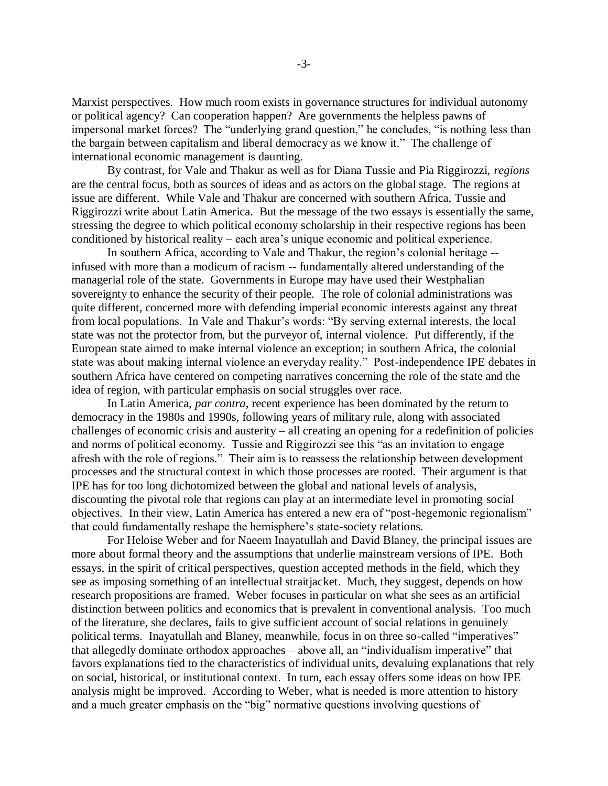Marxist perspectives. How much room exists in governance structures for individual autonomy or political agency? Can cooperation happen? Are governments the helpless pawns of impersonal market forces? The "underlying grand question," he concludes, "is nothing less than the bargain between capitalism and liberal democracy as we know it." The challenge of international economic management is daunting.

By contrast, for Vale and Thakur as well as for Diana Tussie and Pia Riggirozzi, *regions* are the central focus, both as sources of ideas and as actors on the global stage. The regions at issue are different. While Vale and Thakur are concerned with southern Africa, Tussie and Riggirozzi write about Latin America. But the message of the two essays is essentially the same, stressing the degree to which political economy scholarship in their respective regions has been conditioned by historical reality – each area's unique economic and political experience.

In southern Africa, according to Vale and Thakur, the region's colonial heritage - infused with more than a modicum of racism -- fundamentally altered understanding of the managerial role of the state. Governments in Europe may have used their Westphalian sovereignty to enhance the security of their people. The role of colonial administrations was quite different, concerned more with defending imperial economic interests against any threat from local populations. In Vale and Thakur's words: "By serving external interests, the local state was not the protector from, but the purveyor of, internal violence. Put differently, if the European state aimed to make internal violence an exception; in southern Africa, the colonial state was about making internal violence an everyday reality." Post-independence IPE debates in southern Africa have centered on competing narratives concerning the role of the state and the idea of region, with particular emphasis on social struggles over race.

In Latin America, *par contra*, recent experience has been dominated by the return to democracy in the 1980s and 1990s, following years of military rule, along with associated challenges of economic crisis and austerity – all creating an opening for a redefinition of policies and norms of political economy. Tussie and Riggirozzi see this "as an invitation to engage afresh with the role of regions." Their aim is to reassess the relationship between development processes and the structural context in which those processes are rooted. Their argument is that IPE has for too long dichotomized between the global and national levels of analysis, discounting the pivotal role that regions can play at an intermediate level in promoting social objectives. In their view, Latin America has entered a new era of "post-hegemonic regionalism" that could fundamentally reshape the hemisphere's state-society relations.

For Heloise Weber and for Naeem Inayatullah and David Blaney, the principal issues are more about formal theory and the assumptions that underlie mainstream versions of IPE. Both essays, in the spirit of critical perspectives, question accepted methods in the field, which they see as imposing something of an intellectual straitjacket. Much, they suggest, depends on how research propositions are framed. Weber focuses in particular on what she sees as an artificial distinction between politics and economics that is prevalent in conventional analysis. Too much of the literature, she declares, fails to give sufficient account of social relations in genuinely political terms. Inayatullah and Blaney, meanwhile, focus in on three so-called "imperatives" that allegedly dominate orthodox approaches – above all, an "individualism imperative" that favors explanations tied to the characteristics of individual units, devaluing explanations that rely on social, historical, or institutional context. In turn, each essay offers some ideas on how IPE analysis might be improved. According to Weber, what is needed is more attention to history and a much greater emphasis on the "big" normative questions involving questions of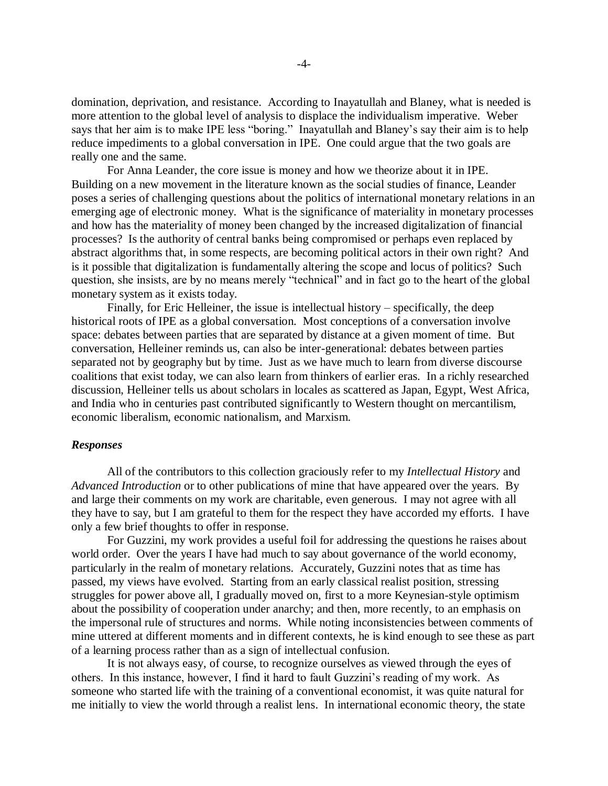domination, deprivation, and resistance. According to Inayatullah and Blaney, what is needed is more attention to the global level of analysis to displace the individualism imperative. Weber says that her aim is to make IPE less "boring." Inayatullah and Blaney's say their aim is to help reduce impediments to a global conversation in IPE. One could argue that the two goals are really one and the same.

For Anna Leander, the core issue is money and how we theorize about it in IPE. Building on a new movement in the literature known as the social studies of finance, Leander poses a series of challenging questions about the politics of international monetary relations in an emerging age of electronic money. What is the significance of materiality in monetary processes and how has the materiality of money been changed by the increased digitalization of financial processes? Is the authority of central banks being compromised or perhaps even replaced by abstract algorithms that, in some respects, are becoming political actors in their own right? And is it possible that digitalization is fundamentally altering the scope and locus of politics? Such question, she insists, are by no means merely "technical" and in fact go to the heart of the global monetary system as it exists today.

Finally, for Eric Helleiner, the issue is intellectual history – specifically, the deep historical roots of IPE as a global conversation. Most conceptions of a conversation involve space: debates between parties that are separated by distance at a given moment of time. But conversation, Helleiner reminds us, can also be inter-generational: debates between parties separated not by geography but by time. Just as we have much to learn from diverse discourse coalitions that exist today, we can also learn from thinkers of earlier eras. In a richly researched discussion, Helleiner tells us about scholars in locales as scattered as Japan, Egypt, West Africa, and India who in centuries past contributed significantly to Western thought on mercantilism, economic liberalism, economic nationalism, and Marxism.

## *Responses*

All of the contributors to this collection graciously refer to my *Intellectual History* and *Advanced Introduction* or to other publications of mine that have appeared over the years. By and large their comments on my work are charitable, even generous. I may not agree with all they have to say, but I am grateful to them for the respect they have accorded my efforts. I have only a few brief thoughts to offer in response.

For Guzzini, my work provides a useful foil for addressing the questions he raises about world order. Over the years I have had much to say about governance of the world economy, particularly in the realm of monetary relations. Accurately, Guzzini notes that as time has passed, my views have evolved. Starting from an early classical realist position, stressing struggles for power above all, I gradually moved on, first to a more Keynesian-style optimism about the possibility of cooperation under anarchy; and then, more recently, to an emphasis on the impersonal rule of structures and norms. While noting inconsistencies between comments of mine uttered at different moments and in different contexts, he is kind enough to see these as part of a learning process rather than as a sign of intellectual confusion.

It is not always easy, of course, to recognize ourselves as viewed through the eyes of others. In this instance, however, I find it hard to fault Guzzini's reading of my work. As someone who started life with the training of a conventional economist, it was quite natural for me initially to view the world through a realist lens. In international economic theory, the state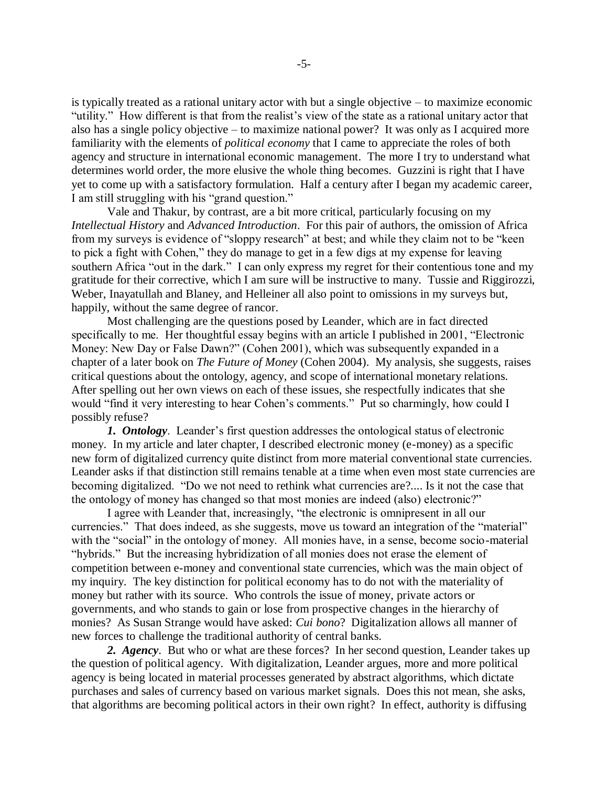is typically treated as a rational unitary actor with but a single objective – to maximize economic "utility." How different is that from the realist's view of the state as a rational unitary actor that also has a single policy objective – to maximize national power? It was only as I acquired more familiarity with the elements of *political economy* that I came to appreciate the roles of both agency and structure in international economic management. The more I try to understand what determines world order, the more elusive the whole thing becomes. Guzzini is right that I have yet to come up with a satisfactory formulation. Half a century after I began my academic career, I am still struggling with his "grand question."

Vale and Thakur, by contrast, are a bit more critical, particularly focusing on my *Intellectual History* and *Advanced Introduction*. For this pair of authors, the omission of Africa from my surveys is evidence of "sloppy research" at best; and while they claim not to be "keen to pick a fight with Cohen," they do manage to get in a few digs at my expense for leaving southern Africa "out in the dark." I can only express my regret for their contentious tone and my gratitude for their corrective, which I am sure will be instructive to many. Tussie and Riggirozzi, Weber, Inayatullah and Blaney, and Helleiner all also point to omissions in my surveys but, happily, without the same degree of rancor.

Most challenging are the questions posed by Leander, which are in fact directed specifically to me. Her thoughtful essay begins with an article I published in 2001, "Electronic Money: New Day or False Dawn?" (Cohen 2001), which was subsequently expanded in a chapter of a later book on *The Future of Money* (Cohen 2004). My analysis, she suggests, raises critical questions about the ontology, agency, and scope of international monetary relations. After spelling out her own views on each of these issues, she respectfully indicates that she would "find it very interesting to hear Cohen's comments." Put so charmingly, how could I possibly refuse?

*1. Ontology*. Leander's first question addresses the ontological status of electronic money. In my article and later chapter, I described electronic money (e-money) as a specific new form of digitalized currency quite distinct from more material conventional state currencies. Leander asks if that distinction still remains tenable at a time when even most state currencies are becoming digitalized. "Do we not need to rethink what currencies are?.... Is it not the case that the ontology of money has changed so that most monies are indeed (also) electronic?"

I agree with Leander that, increasingly, "the electronic is omnipresent in all our currencies." That does indeed, as she suggests, move us toward an integration of the "material" with the "social" in the ontology of money. All monies have, in a sense, become socio-material "hybrids." But the increasing hybridization of all monies does not erase the element of competition between e-money and conventional state currencies, which was the main object of my inquiry. The key distinction for political economy has to do not with the materiality of money but rather with its source. Who controls the issue of money, private actors or governments, and who stands to gain or lose from prospective changes in the hierarchy of monies? As Susan Strange would have asked: *Cui bono*? Digitalization allows all manner of new forces to challenge the traditional authority of central banks.

*2. Agency*. But who or what are these forces? In her second question, Leander takes up the question of political agency. With digitalization, Leander argues, more and more political agency is being located in material processes generated by abstract algorithms, which dictate purchases and sales of currency based on various market signals. Does this not mean, she asks, that algorithms are becoming political actors in their own right? In effect, authority is diffusing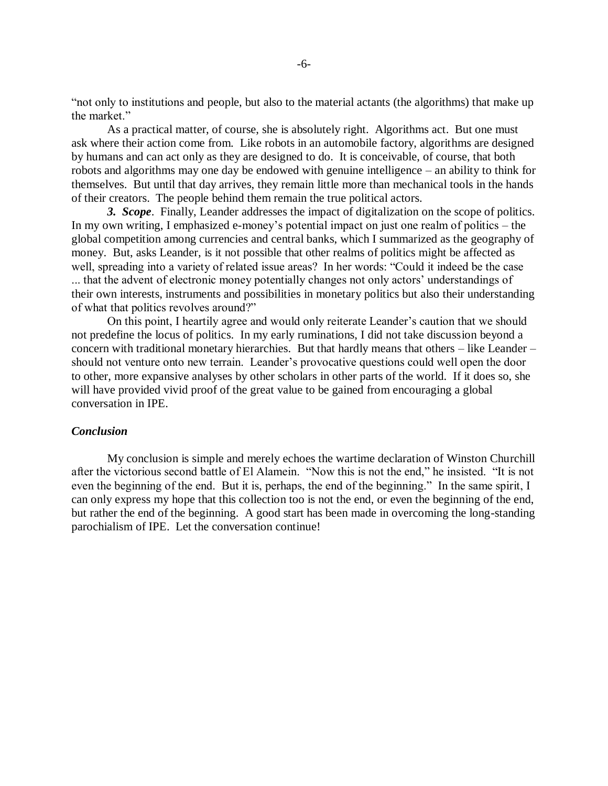"not only to institutions and people, but also to the material actants (the algorithms) that make up the market."

As a practical matter, of course, she is absolutely right. Algorithms act. But one must ask where their action come from. Like robots in an automobile factory, algorithms are designed by humans and can act only as they are designed to do. It is conceivable, of course, that both robots and algorithms may one day be endowed with genuine intelligence – an ability to think for themselves. But until that day arrives, they remain little more than mechanical tools in the hands of their creators. The people behind them remain the true political actors.

*3. Scope*. Finally, Leander addresses the impact of digitalization on the scope of politics. In my own writing, I emphasized e-money's potential impact on just one realm of politics – the global competition among currencies and central banks, which I summarized as the geography of money. But, asks Leander, is it not possible that other realms of politics might be affected as well, spreading into a variety of related issue areas? In her words: "Could it indeed be the case ... that the advent of electronic money potentially changes not only actors' understandings of their own interests, instruments and possibilities in monetary politics but also their understanding of what that politics revolves around?"

On this point, I heartily agree and would only reiterate Leander's caution that we should not predefine the locus of politics. In my early ruminations, I did not take discussion beyond a concern with traditional monetary hierarchies. But that hardly means that others – like Leander – should not venture onto new terrain. Leander's provocative questions could well open the door to other, more expansive analyses by other scholars in other parts of the world. If it does so, she will have provided vivid proof of the great value to be gained from encouraging a global conversation in IPE.

# *Conclusion*

My conclusion is simple and merely echoes the wartime declaration of Winston Churchill after the victorious second battle of El Alamein. "Now this is not the end," he insisted. "It is not even the beginning of the end. But it is, perhaps, the end of the beginning." In the same spirit, I can only express my hope that this collection too is not the end, or even the beginning of the end, but rather the end of the beginning. A good start has been made in overcoming the long-standing parochialism of IPE. Let the conversation continue!